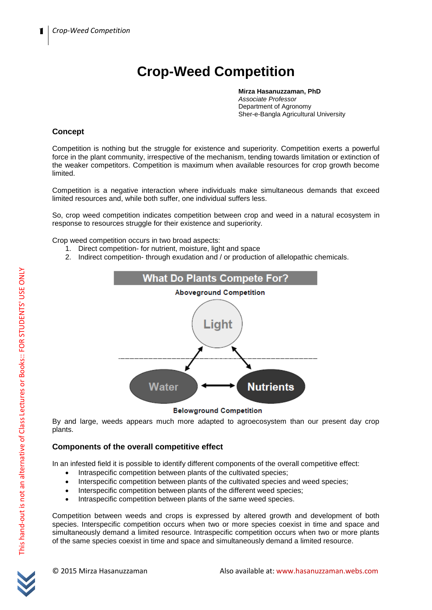# **Crop-Weed Competition**

**Mirza Hasanuzzaman, PhD** *Associate Professor* Department of Agronomy Sher-e-Bangla Agricultural University

# **Concept**

Competition is nothing but the struggle for existence and superiority. Competition exerts a powerful force in the plant community, irrespective of the mechanism, tending towards limitation or extinction of the weaker competitors. Competition is maximum when available resources for crop growth become limited.

Competition is a negative interaction where individuals make simultaneous demands that exceed limited resources and, while both suffer, one individual suffers less.

So, crop weed competition indicates competition between crop and weed in a natural ecosystem in response to resources struggle for their existence and superiority.

Crop weed competition occurs in two broad aspects:

- 1. Direct competition- for nutrient, moisture, light and space
- 2. Indirect competition- through exudation and / or production of allelopathic chemicals.



# **Belowground Competition**

By and large, weeds appears much more adapted to agroecosystem than our present day crop plants.

# **Components of the overall competitive effect**

In an infested field it is possible to identify different components of the overall competitive effect:

- Intraspecific competition between plants of the cultivated species;
- Interspecific competition between plants of the cultivated species and weed species;
- Interspecific competition between plants of the different weed species;
- Intraspecific competition between plants of the same weed species.

Competition between weeds and crops is expressed by altered growth and development of both species. Interspecific competition occurs when two or more species coexist in time and space and simultaneously demand a limited resource. Intraspecific competition occurs when two or more plants of the same species coexist in time and space and simultaneously demand a limited resource.

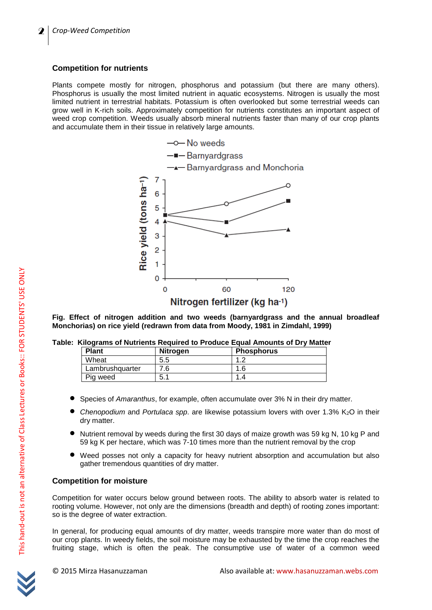# **Competition for nutrients**

Plants compete mostly for nitrogen, phosphorus and potassium (but there are many others). Phosphorus is usually the most limited nutrient in aquatic ecosystems. Nitrogen is usually the most limited nutrient in terrestrial habitats. Potassium is often overlooked but some terrestrial weeds can grow well in K-rich soils. Approximately competition for nutrients constitutes an important aspect of weed crop competition. Weeds usually absorb mineral nutrients faster than many of our crop plants and accumulate them in their tissue in relatively large amounts.



**Fig. Effect of nitrogen addition and two weeds (barnyardgrass and the annual broadleaf Monchorias) on rice yield (redrawn from data from Moody, 1981 in Zimdahl, 1999)**

|  |  |  |  |  | Table: Kilograms of Nutrients Required to Produce Equal Amounts of Dry Matter |  |
|--|--|--|--|--|-------------------------------------------------------------------------------|--|
|--|--|--|--|--|-------------------------------------------------------------------------------|--|

| <b>Plant</b>    | <b>Nitrogen</b> | <b>Phosphorus</b> |
|-----------------|-----------------|-------------------|
| Wheat           | 5.5             |                   |
| Lambrushquarter | .6              | .6                |
| Pig weed        | 5.1             |                   |

- Species of *Amaranthus*, for example, often accumulate over 3% N in their dry matter.
- *Chenopodium* and *Portulaca spp.* are likewise potassium lovers with over 1.3% K<sub>2</sub>O in their dry matter.
- Nutrient removal by weeds during the first 30 days of maize growth was 59 kg N, 10 kg P and 59 kg K per hectare, which was 7-10 times more than the nutrient removal by the crop
- Weed posses not only a capacity for heavy nutrient absorption and accumulation but also gather tremendous quantities of dry matter.

# **Competition for moisture**

Competition for water occurs below ground between roots. The ability to absorb water is related to rooting volume. However, not only are the dimensions (breadth and depth) of rooting zones important: so is the degree of water extraction.

In general, for producing equal amounts of dry matter, weeds transpire more water than do most of our crop plants. In weedy fields, the soil moisture may be exhausted by the time the crop reaches the fruiting stage, which is often the peak. The consumptive use of water of a common weed

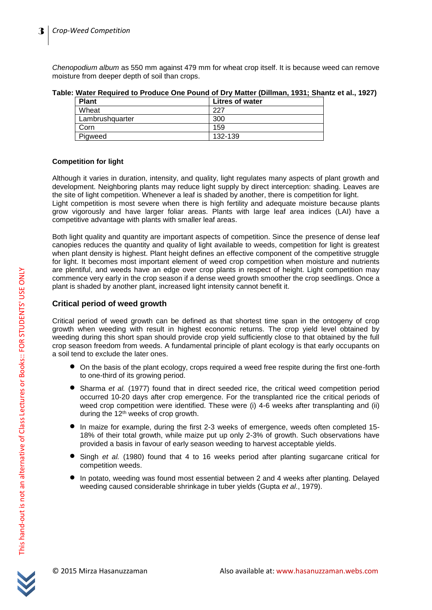*Chenopodium album* as 550 mm against 479 mm for wheat crop itself. It is because weed can remove moisture from deeper depth of soil than crops.

**Table: Water Required to Produce One Pound of Dry Matter (Dillman, 1931; Shantz et al., 1927)**

| <b>Plant</b>    | <b>Litres of water</b> |
|-----------------|------------------------|
| Wheat           | つつつ                    |
| Lambrushquarter | 300                    |
| Corn            | 159                    |
| Pigweed         | 132-139                |

# **Competition for light**

Although it varies in duration, intensity, and quality, light regulates many aspects of plant growth and development. Neighboring plants may reduce light supply by direct interception: shading. Leaves are the site of light competition. Whenever a leaf is shaded by another, there is competition for light. Light competition is most severe when there is high fertility and adequate moisture because plants grow vigorously and have larger foliar areas. Plants with large leaf area indices (LAI) have a competitive advantage with plants with smaller leaf areas.

Both light quality and quantity are important aspects of competition. Since the presence of dense leaf canopies reduces the quantity and quality of light available to weeds, competition for light is greatest when plant density is highest. Plant height defines an effective component of the competitive struggle for light. It becomes most important element of weed crop competition when moisture and nutrients are plentiful, and weeds have an edge over crop plants in respect of height. Light competition may commence very early in the crop season if a dense weed growth smoother the crop seedlings. Once a plant is shaded by another plant, increased light intensity cannot benefit it.

# **Critical period of weed growth**

Critical period of weed growth can be defined as that shortest time span in the ontogeny of crop growth when weeding with result in highest economic returns. The crop yield level obtained by weeding during this short span should provide crop yield sufficiently close to that obtained by the full crop season freedom from weeds. A fundamental principle of plant ecology is that early occupants on a soil tend to exclude the later ones.

- $\bullet$  On the basis of the plant ecology, crops required a weed free respite during the first one-forth to one-third of its growing period.
- Sharma *et al.* (1977) found that in direct seeded rice, the critical weed competition period occurred 10-20 days after crop emergence. For the transplanted rice the critical periods of weed crop competition were identified. These were (i) 4-6 weeks after transplanting and (ii) during the 12<sup>th</sup> weeks of crop growth.
- In maize for example, during the first 2-3 weeks of emergence, weeds often completed 15- 18% of their total growth, while maize put up only 2-3% of growth. Such observations have provided a basis in favour of early season weeding to harvest acceptable yields.
- Singh *et al.* (1980) found that 4 to 16 weeks period after planting sugarcane critical for competition weeds.
- In potato, weeding was found most essential between 2 and 4 weeks after planting. Delayed weeding caused considerable shrinkage in tuber yields (Gupta *et al*., 1979).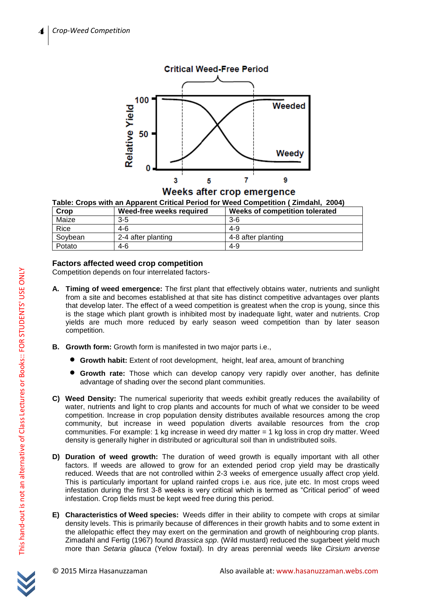

Weeks after crop emergence

| Crop    | Weed-free weeks required | Weeks of competition tolerated |
|---------|--------------------------|--------------------------------|
| Maize   | $3-5$                    | $3-6$                          |
| Rice    | $4-6$                    | 4-9                            |
| Soybean | 2-4 after planting       | 4-8 after planting             |
| Potato  | 4-6                      | 4-9                            |

# **Factors affected weed crop competition**

Competition depends on four interrelated factors-

- **A. Timing of weed emergence:** The first plant that effectively obtains water, nutrients and sunlight from a site and becomes established at that site has distinct competitive advantages over plants that develop later. The effect of a weed competition is greatest when the crop is young, since this is the stage which plant growth is inhibited most by inadequate light, water and nutrients. Crop yields are much more reduced by early season weed competition than by later season competition.
- **B. Growth form:** Growth form is manifested in two major parts i.e.,
	- **Growth habit:** Extent of root development, height, leaf area, amount of branching
	- **Growth rate:** Those which can develop canopy very rapidly over another, has definite advantage of shading over the second plant communities.
- **C) Weed Density:** The numerical superiority that weeds exhibit greatly reduces the availability of water, nutrients and light to crop plants and accounts for much of what we consider to be weed competition. Increase in crop population density distributes available resources among the crop community, but increase in weed population diverts available resources from the crop communities. For example: 1 kg increase in weed dry matter = 1 kg loss in crop dry matter. Weed density is generally higher in distributed or agricultural soil than in undistributed soils.
- **D) Duration of weed growth:** The duration of weed growth is equally important with all other factors. If weeds are allowed to grow for an extended period crop yield may be drastically reduced. Weeds that are not controlled within 2-3 weeks of emergence usually affect crop yield. This is particularly important for upland rainfed crops i.e. aus rice, jute etc. In most crops weed infestation during the first 3-8 weeks is very critical which is termed as "Critical period" of weed infestation. Crop fields must be kept weed free during this period.
- **E) Characteristics of Weed species:** Weeds differ in their ability to compete with crops at similar density levels. This is primarily because of differences in their growth habits and to some extent in the allelopathic effect they may exert on the germination and growth of neighbouring crop plants. Zimadahl and Fertig (1967) found *Brassica spp*. (Wild mustard) reduced the sugarbeet yield much more than *Setaria glauca* (Yelow foxtail). In dry areas perennial weeds like *Cirsium arvense*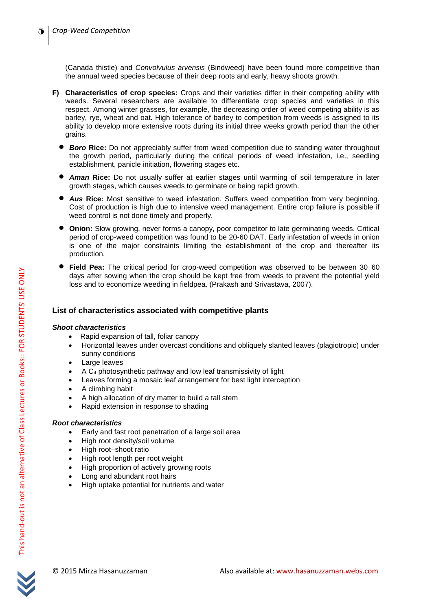(Canada thistle) and *Convolvulus arvensis* (Bindweed) have been found more competitive than the annual weed species because of their deep roots and early, heavy shoots growth.

- **F) Characteristics of crop species:** Crops and their varieties differ in their competing ability with weeds. Several researchers are available to differentiate crop species and varieties in this respect. Among winter grasses, for example, the decreasing order of weed competing ability is as barley, rye, wheat and oat. High tolerance of barley to competition from weeds is assigned to its ability to develop more extensive roots during its initial three weeks growth period than the other grains.
	- **Boro Rice:** Do not appreciably suffer from weed competition due to standing water throughout the growth period, particularly during the critical periods of weed infestation, i.e., seedling establishment, panicle initiation, flowering stages etc.
	- *Aman* **Rice:** Do not usually suffer at earlier stages until warming of soil temperature in later growth stages, which causes weeds to germinate or being rapid growth.
	- *Aus* **Rice:** Most sensitive to weed infestation. Suffers weed competition from very beginning. Cost of production is high due to intensive weed management. Entire crop failure is possible if weed control is not done timely and properly.
	- **Onion:** Slow growing, never forms a canopy, poor competitor to late germinating weeds. Critical period of crop-weed competition was found to be 20-60 DAT. Early infestation of weeds in onion is one of the major constraints limiting the establishment of the crop and thereafter its production.
	- **Field Pea:** The critical period for crop-weed competition was observed to be between 30–<sup>60</sup> days after sowing when the crop should be kept free from weeds to prevent the potential yield loss and to economize weeding in fieldpea. (Prakash and Srivastava, 2007).

# **List of characteristics associated with competitive plants**

#### *Shoot characteristics*

- Rapid expansion of tall, foliar canopy
- Horizontal leaves under overcast conditions and obliquely slanted leaves (plagiotropic) under sunny conditions
- Large leaves
- $\bullet$  A C<sub>4</sub> photosynthetic pathway and low leaf transmissivity of light
- Leaves forming a mosaic leaf arrangement for best light interception
- A climbing habit
- A high allocation of dry matter to build a tall stem
- Rapid extension in response to shading

# *Root characteristics*

- Early and fast root penetration of a large soil area
- High root density/soil volume
- High root–shoot ratio
- High root length per root weight
- High proportion of actively growing roots
- Long and abundant root hairs
- High uptake potential for nutrients and water